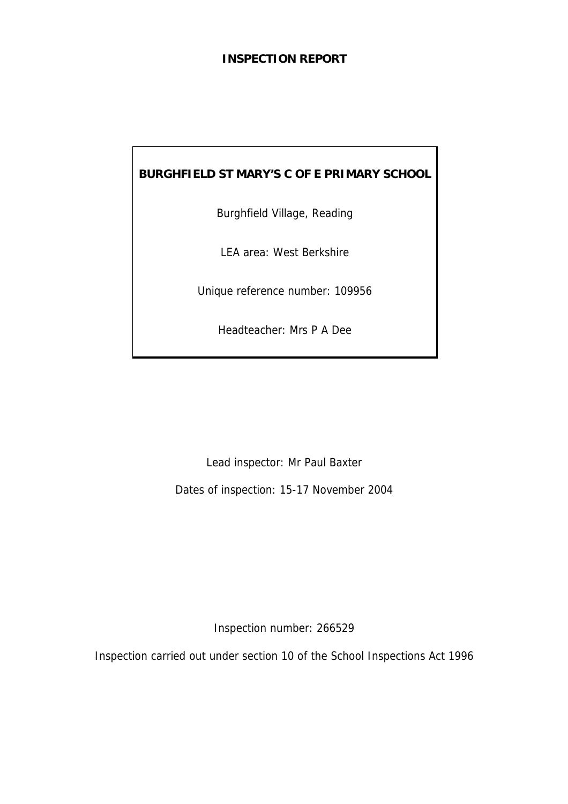## **INSPECTION REPORT**

# **BURGHFIELD ST MARY'S C OF E PRIMARY SCHOOL**

Burghfield Village, Reading

LEA area: West Berkshire

Unique reference number: 109956

Headteacher: Mrs P A Dee

Lead inspector: Mr Paul Baxter

Dates of inspection: 15-17 November 2004

Inspection number: 266529

Inspection carried out under section 10 of the School Inspections Act 1996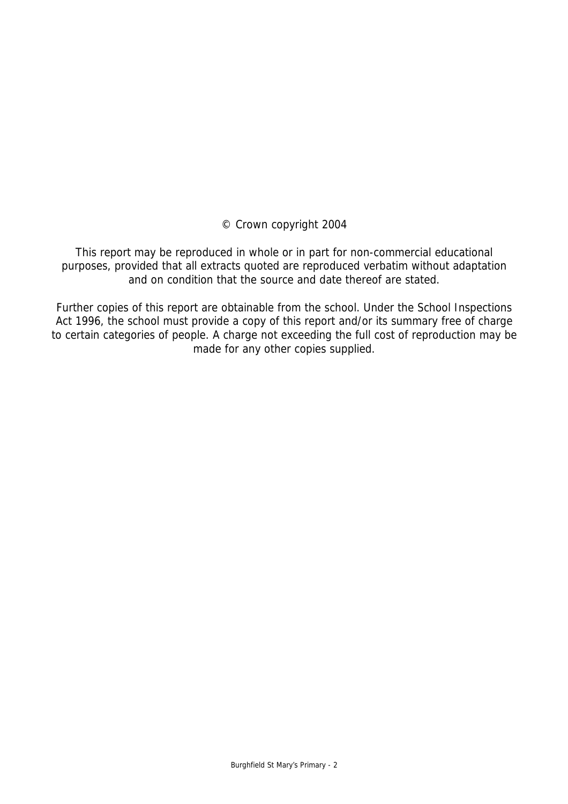© Crown copyright 2004

This report may be reproduced in whole or in part for non-commercial educational purposes, provided that all extracts quoted are reproduced verbatim without adaptation and on condition that the source and date thereof are stated.

Further copies of this report are obtainable from the school. Under the School Inspections Act 1996, the school must provide a copy of this report and/or its summary free of charge to certain categories of people. A charge not exceeding the full cost of reproduction may be made for any other copies supplied.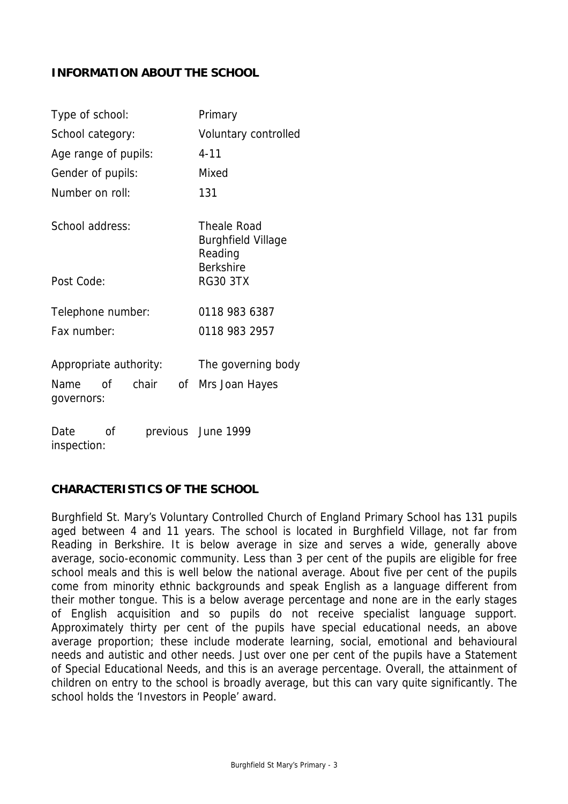## **INFORMATION ABOUT THE SCHOOL**

| Type of school:                         | Primary                                             |
|-----------------------------------------|-----------------------------------------------------|
| School category:                        | Voluntary controlled                                |
| Age range of pupils:                    | $4 - 11$                                            |
| Gender of pupils:                       | Mixed                                               |
| Number on roll:                         | 131                                                 |
| School address:                         | Theale Road<br><b>Burghfield Village</b><br>Reading |
| Post Code:                              | <b>Berkshire</b><br><b>RG30 3TX</b>                 |
| Telephone number:                       | 0118 983 6387                                       |
| Fax number:                             | 0118 983 2957                                       |
| Appropriate authority:                  | The governing body                                  |
| chair<br>Name<br>of<br>of<br>governors: | Mrs Joan Hayes                                      |
| Date<br>οf<br>inspection:               | previous June 1999                                  |

## **CHARACTERISTICS OF THE SCHOOL**

Burghfield St. Mary's Voluntary Controlled Church of England Primary School has 131 pupils aged between 4 and 11 years. The school is located in Burghfield Village, not far from Reading in Berkshire. It is below average in size and serves a wide, generally above average, socio-economic community. Less than 3 per cent of the pupils are eligible for free school meals and this is well below the national average. About five per cent of the pupils come from minority ethnic backgrounds and speak English as a language different from their mother tongue. This is a below average percentage and none are in the early stages of English acquisition and so pupils do not receive specialist language support. Approximately thirty per cent of the pupils have special educational needs, an above average proportion; these include moderate learning, social, emotional and behavioural needs and autistic and other needs. Just over one per cent of the pupils have a Statement of Special Educational Needs, and this is an average percentage. Overall, the attainment of children on entry to the school is broadly average, but this can vary quite significantly. The school holds the 'Investors in People' award.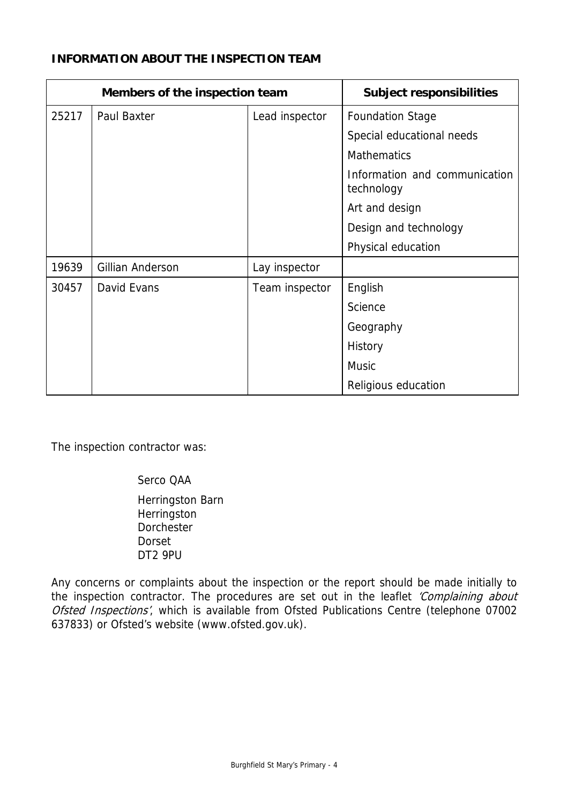## **INFORMATION ABOUT THE INSPECTION TEAM**

| Members of the inspection team |                         |                | <b>Subject responsibilities</b>             |
|--------------------------------|-------------------------|----------------|---------------------------------------------|
| 25217                          | Paul Baxter             | Lead inspector | <b>Foundation Stage</b>                     |
|                                |                         |                | Special educational needs                   |
|                                |                         |                | <b>Mathematics</b>                          |
|                                |                         |                | Information and communication<br>technology |
|                                |                         |                | Art and design                              |
|                                |                         |                | Design and technology                       |
|                                |                         |                | Physical education                          |
| 19639                          | <b>Gillian Anderson</b> | Lay inspector  |                                             |
| 30457                          | David Evans             | Team inspector | English                                     |
|                                |                         |                | Science                                     |
|                                |                         |                | Geography                                   |
|                                |                         |                | History                                     |
|                                |                         |                | <b>Music</b>                                |
|                                |                         |                | Religious education                         |

The inspection contractor was:

Serco QAA

 Herringston Barn **Herringston**  Dorchester Dorset DT2 9PU

Any concerns or complaints about the inspection or the report should be made initially to the inspection contractor. The procedures are set out in the leaflet 'Complaining about Ofsted Inspections', which is available from Ofsted Publications Centre (telephone 07002 637833) or Ofsted's website (www.ofsted.gov.uk).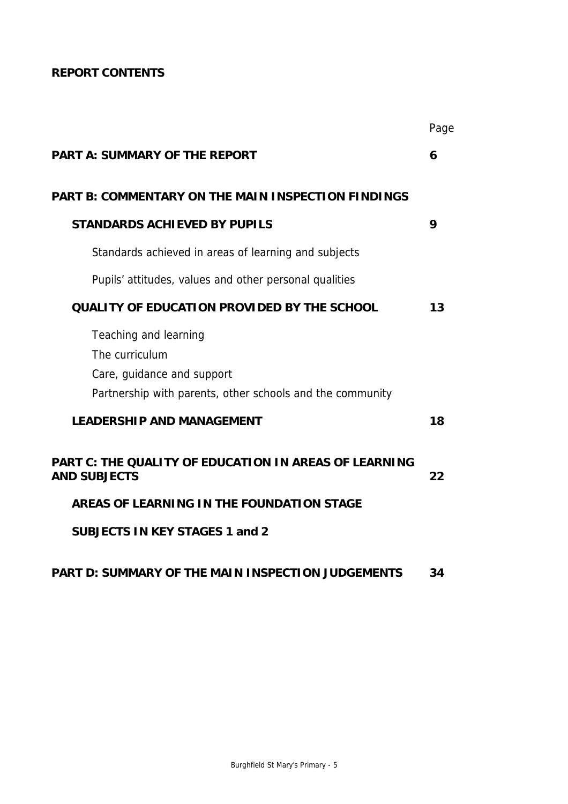# **REPORT CONTENTS**

|                                                                                                                                    | Page |
|------------------------------------------------------------------------------------------------------------------------------------|------|
| <b>PART A: SUMMARY OF THE REPORT</b>                                                                                               | 6    |
| <b>PART B: COMMENTARY ON THE MAIN INSPECTION FINDINGS</b>                                                                          |      |
| <b>STANDARDS ACHIEVED BY PUPILS</b>                                                                                                | 9    |
| Standards achieved in areas of learning and subjects                                                                               |      |
| Pupils' attitudes, values and other personal qualities                                                                             |      |
| <b>QUALITY OF EDUCATION PROVIDED BY THE SCHOOL</b>                                                                                 | 13   |
| Teaching and learning<br>The curriculum<br>Care, guidance and support<br>Partnership with parents, other schools and the community |      |
| <b>LEADERSHIP AND MANAGEMENT</b>                                                                                                   | 18   |
| <b>PART C: THE QUALITY OF EDUCATION IN AREAS OF LEARNING</b><br><b>AND SUBJECTS</b>                                                | 22   |
| AREAS OF LEARNING IN THE FOUNDATION STAGE                                                                                          |      |
| <b>SUBJECTS IN KEY STAGES 1 and 2</b>                                                                                              |      |
|                                                                                                                                    |      |

# **PART D: SUMMARY OF THE MAIN INSPECTION JUDGEMENTS 34**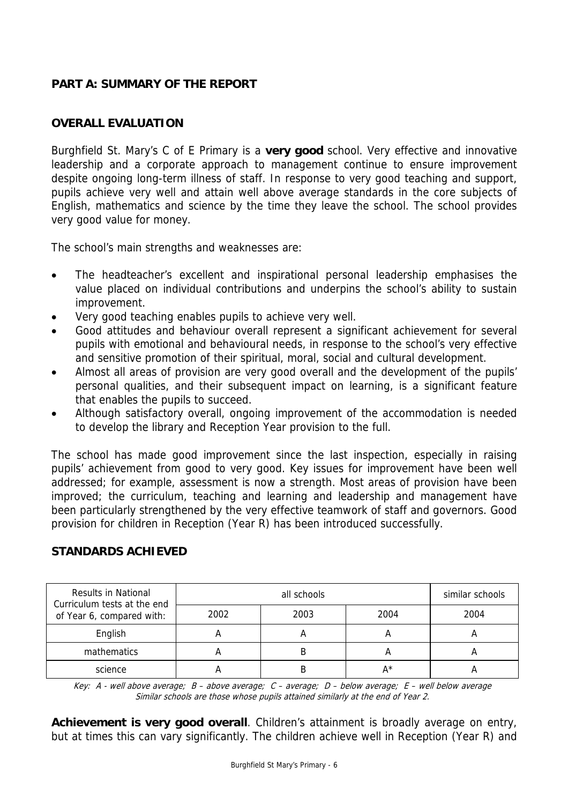## **PART A: SUMMARY OF THE REPORT**

## **OVERALL EVALUATION**

Burghfield St. Mary's C of E Primary is a **very good** school. Very effective and innovative leadership and a corporate approach to management continue to ensure improvement despite ongoing long-term illness of staff. In response to very good teaching and support, pupils achieve very well and attain well above average standards in the core subjects of English, mathematics and science by the time they leave the school. The school provides very good value for money.

The school's main strengths and weaknesses are:

- The headteacher's excellent and inspirational personal leadership emphasises the value placed on individual contributions and underpins the school's ability to sustain improvement.
- Very good teaching enables pupils to achieve very well.
- Good attitudes and behaviour overall represent a significant achievement for several pupils with emotional and behavioural needs, in response to the school's very effective and sensitive promotion of their spiritual, moral, social and cultural development.
- Almost all areas of provision are very good overall and the development of the pupils' personal qualities, and their subsequent impact on learning, is a significant feature that enables the pupils to succeed.
- Although satisfactory overall, ongoing improvement of the accommodation is needed to develop the library and Reception Year provision to the full.

The school has made good improvement since the last inspection, especially in raising pupils' achievement from good to very good. Key issues for improvement have been well addressed; for example, assessment is now a strength. Most areas of provision have been improved; the curriculum, teaching and learning and leadership and management have been particularly strengthened by the very effective teamwork of staff and governors. Good provision for children in Reception (Year R) has been introduced successfully.

| <b>Results in National</b><br>Curriculum tests at the end |      | similar schools |       |      |
|-----------------------------------------------------------|------|-----------------|-------|------|
| of Year 6, compared with:                                 | 2002 | 2003            | 2004  | 2004 |
| English                                                   |      |                 | A     |      |
| mathematics                                               |      |                 | А     | A    |
| science                                                   |      |                 | $A^*$ |      |

# **STANDARDS ACHIEVED**

Key: A - well above average; B – above average; C – average; D – below average; E – well below average Similar schools are those whose pupils attained similarly at the end of Year 2.

**Achievement is very good overall**. Children's attainment is broadly average on entry, but at times this can vary significantly. The children achieve well in Reception (Year R) and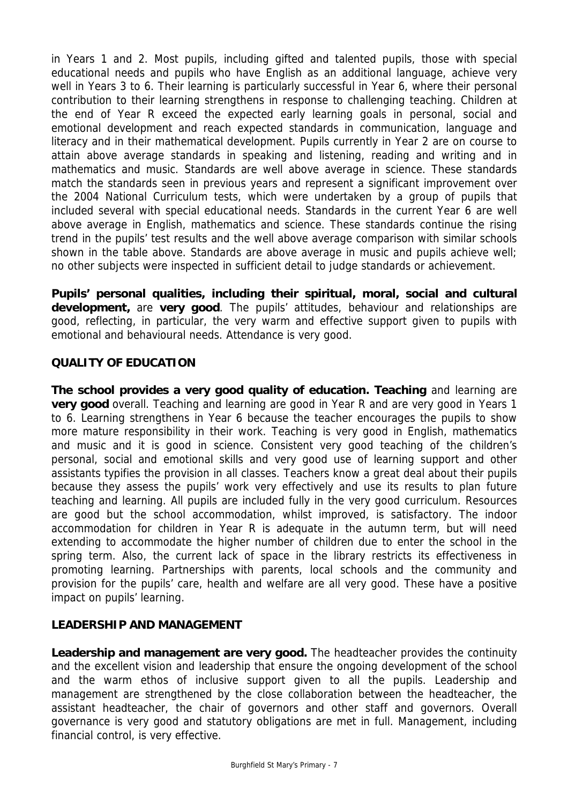in Years 1 and 2. Most pupils, including gifted and talented pupils, those with special educational needs and pupils who have English as an additional language, achieve very well in Years 3 to 6. Their learning is particularly successful in Year 6, where their personal contribution to their learning strengthens in response to challenging teaching. Children at the end of Year R exceed the expected early learning goals in personal, social and emotional development and reach expected standards in communication, language and literacy and in their mathematical development. Pupils currently in Year 2 are on course to attain above average standards in speaking and listening, reading and writing and in mathematics and music. Standards are well above average in science. These standards match the standards seen in previous years and represent a significant improvement over the 2004 National Curriculum tests, which were undertaken by a group of pupils that included several with special educational needs. Standards in the current Year 6 are well above average in English, mathematics and science. These standards continue the rising trend in the pupils' test results and the well above average comparison with similar schools shown in the table above. Standards are above average in music and pupils achieve well; no other subjects were inspected in sufficient detail to judge standards or achievement.

**Pupils' personal qualities, including their spiritual, moral, social and cultural development,** are **very good**. The pupils' attitudes, behaviour and relationships are good, reflecting, in particular, the very warm and effective support given to pupils with emotional and behavioural needs. Attendance is very good.

## **QUALITY OF EDUCATION**

**The school provides a very good quality of education. Teaching** and learning are **very good** overall. Teaching and learning are good in Year R and are very good in Years 1 to 6. Learning strengthens in Year 6 because the teacher encourages the pupils to show more mature responsibility in their work. Teaching is very good in English, mathematics and music and it is good in science. Consistent very good teaching of the children's personal, social and emotional skills and very good use of learning support and other assistants typifies the provision in all classes. Teachers know a great deal about their pupils because they assess the pupils' work very effectively and use its results to plan future teaching and learning. All pupils are included fully in the very good curriculum. Resources are good but the school accommodation, whilst improved, is satisfactory. The indoor accommodation for children in Year R is adequate in the autumn term, but will need extending to accommodate the higher number of children due to enter the school in the spring term. Also, the current lack of space in the library restricts its effectiveness in promoting learning. Partnerships with parents, local schools and the community and provision for the pupils' care, health and welfare are all very good. These have a positive impact on pupils' learning.

#### **LEADERSHIP AND MANAGEMENT**

**Leadership and management are very good.** The headteacher provides the continuity and the excellent vision and leadership that ensure the ongoing development of the school and the warm ethos of inclusive support given to all the pupils. Leadership and management are strengthened by the close collaboration between the headteacher, the assistant headteacher, the chair of governors and other staff and governors. Overall governance is very good and statutory obligations are met in full. Management, including financial control, is very effective.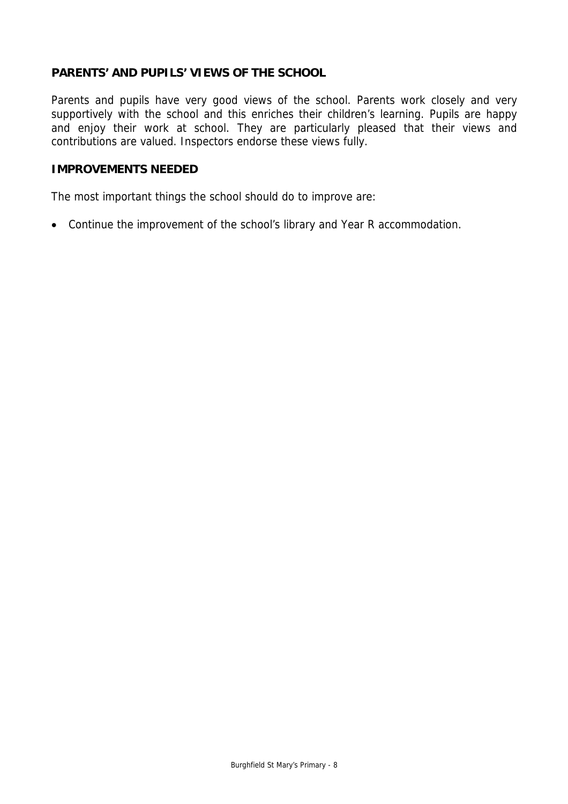## **PARENTS' AND PUPILS' VIEWS OF THE SCHOOL**

Parents and pupils have very good views of the school. Parents work closely and very supportively with the school and this enriches their children's learning. Pupils are happy and enjoy their work at school. They are particularly pleased that their views and contributions are valued. Inspectors endorse these views fully.

#### **IMPROVEMENTS NEEDED**

The most important things the school should do to improve are:

• Continue the improvement of the school's library and Year R accommodation.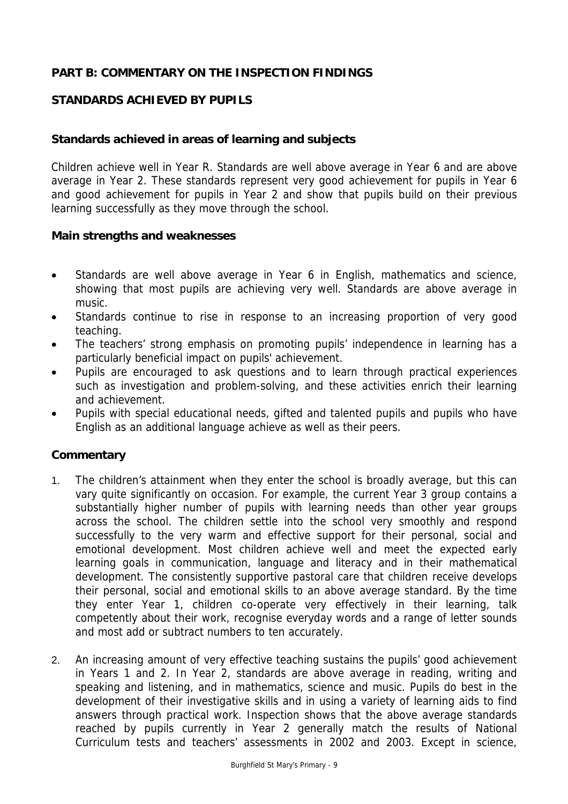## **PART B: COMMENTARY ON THE INSPECTION FINDINGS**

## **STANDARDS ACHIEVED BY PUPILS**

## **Standards achieved in areas of learning and subjects**

Children achieve well in Year R. Standards are well above average in Year 6 and are above average in Year 2. These standards represent very good achievement for pupils in Year 6 and good achievement for pupils in Year 2 and show that pupils build on their previous learning successfully as they move through the school.

#### **Main strengths and weaknesses**

- Standards are well above average in Year 6 in English, mathematics and science, showing that most pupils are achieving very well. Standards are above average in music.
- Standards continue to rise in response to an increasing proportion of very good teaching.
- The teachers' strong emphasis on promoting pupils' independence in learning has a particularly beneficial impact on pupils' achievement.
- Pupils are encouraged to ask questions and to learn through practical experiences such as investigation and problem-solving, and these activities enrich their learning and achievement.
- Pupils with special educational needs, gifted and talented pupils and pupils who have English as an additional language achieve as well as their peers.

#### **Commentary**

- 1. The children's attainment when they enter the school is broadly average, but this can vary quite significantly on occasion. For example, the current Year 3 group contains a substantially higher number of pupils with learning needs than other year groups across the school. The children settle into the school very smoothly and respond successfully to the very warm and effective support for their personal, social and emotional development. Most children achieve well and meet the expected early learning goals in communication, language and literacy and in their mathematical development. The consistently supportive pastoral care that children receive develops their personal, social and emotional skills to an above average standard. By the time they enter Year 1, children co-operate very effectively in their learning, talk competently about their work, recognise everyday words and a range of letter sounds and most add or subtract numbers to ten accurately.
- 2. An increasing amount of very effective teaching sustains the pupils' good achievement in Years 1 and 2. In Year 2, standards are above average in reading, writing and speaking and listening, and in mathematics, science and music. Pupils do best in the development of their investigative skills and in using a variety of learning aids to find answers through practical work. Inspection shows that the above average standards reached by pupils currently in Year 2 generally match the results of National Curriculum tests and teachers' assessments in 2002 and 2003. Except in science,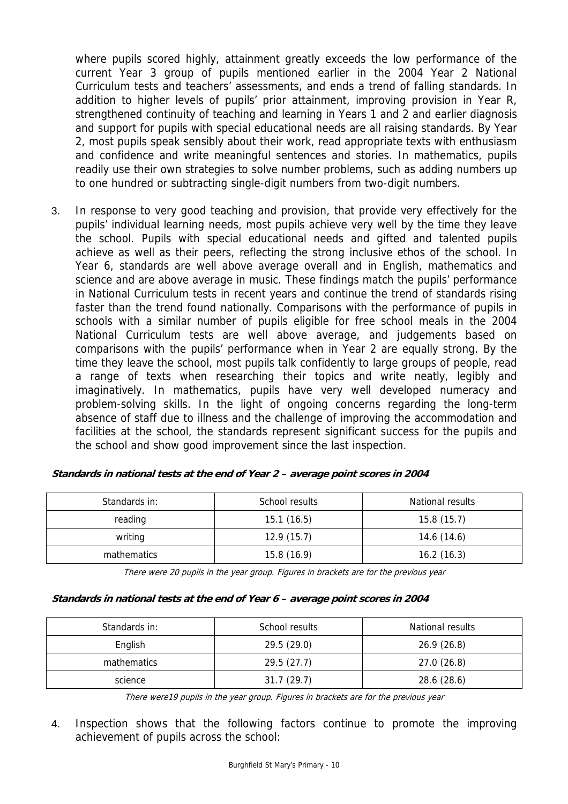where pupils scored highly, attainment greatly exceeds the low performance of the current Year 3 group of pupils mentioned earlier in the 2004 Year 2 National Curriculum tests and teachers' assessments, and ends a trend of falling standards. In addition to higher levels of pupils' prior attainment, improving provision in Year R, strengthened continuity of teaching and learning in Years 1 and 2 and earlier diagnosis and support for pupils with special educational needs are all raising standards. By Year 2, most pupils speak sensibly about their work, read appropriate texts with enthusiasm and confidence and write meaningful sentences and stories. In mathematics, pupils readily use their own strategies to solve number problems, such as adding numbers up to one hundred or subtracting single-digit numbers from two-digit numbers.

3. In response to very good teaching and provision, that provide very effectively for the pupils' individual learning needs, most pupils achieve very well by the time they leave the school. Pupils with special educational needs and gifted and talented pupils achieve as well as their peers, reflecting the strong inclusive ethos of the school. In Year 6, standards are well above average overall and in English, mathematics and science and are above average in music. These findings match the pupils' performance in National Curriculum tests in recent years and continue the trend of standards rising faster than the trend found nationally. Comparisons with the performance of pupils in schools with a similar number of pupils eligible for free school meals in the 2004 National Curriculum tests are well above average, and judgements based on comparisons with the pupils' performance when in Year 2 are equally strong. By the time they leave the school, most pupils talk confidently to large groups of people, read a range of texts when researching their topics and write neatly, legibly and imaginatively. In mathematics, pupils have very well developed numeracy and problem-solving skills. In the light of ongoing concerns regarding the long-term absence of staff due to illness and the challenge of improving the accommodation and facilities at the school, the standards represent significant success for the pupils and the school and show good improvement since the last inspection.

| Standards in: | School results | National results |
|---------------|----------------|------------------|
| reading       | 15.1(16.5)     | 15.8(15.7)       |
| writing       | 12.9(15.7)     | 14.6(14.6)       |
| mathematics   | 15.8(16.9)     | 16.2(16.3)       |

| Standards in national tests at the end of Year 2 – average point scores in 2004 |  |
|---------------------------------------------------------------------------------|--|
|---------------------------------------------------------------------------------|--|

There were 20 pupils in the year group. Figures in brackets are for the previous year

#### **Standards in national tests at the end of Year 6 – average point scores in 2004**

| Standards in: | School results | National results |
|---------------|----------------|------------------|
| English       | 29.5(29.0)     | 26.9(26.8)       |
| mathematics   | 29.5(27.7)     | 27.0(26.8)       |
| science       | 31.7(29.7)     | 28.6 (28.6)      |

There were19 pupils in the year group. Figures in brackets are for the previous year

4. Inspection shows that the following factors continue to promote the improving achievement of pupils across the school: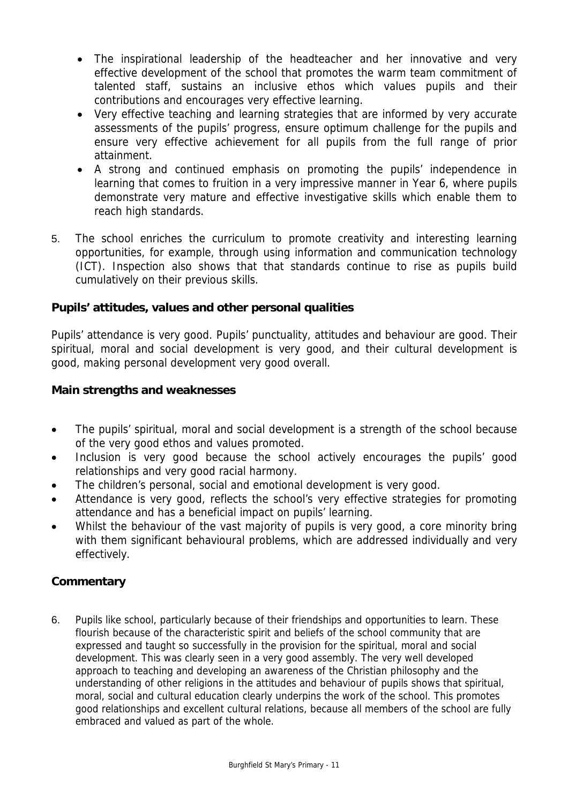- The inspirational leadership of the headteacher and her innovative and very effective development of the school that promotes the warm team commitment of talented staff, sustains an inclusive ethos which values pupils and their contributions and encourages very effective learning.
- Very effective teaching and learning strategies that are informed by very accurate assessments of the pupils' progress, ensure optimum challenge for the pupils and ensure very effective achievement for all pupils from the full range of prior attainment.
- A strong and continued emphasis on promoting the pupils' independence in learning that comes to fruition in a very impressive manner in Year 6, where pupils demonstrate very mature and effective investigative skills which enable them to reach high standards.
- 5. The school enriches the curriculum to promote creativity and interesting learning opportunities, for example, through using information and communication technology (ICT). Inspection also shows that that standards continue to rise as pupils build cumulatively on their previous skills.

## **Pupils' attitudes, values and other personal qualities**

Pupils' attendance is very good. Pupils' punctuality, attitudes and behaviour are good. Their spiritual, moral and social development is very good, and their cultural development is good, making personal development very good overall.

## **Main strengths and weaknesses**

- The pupils' spiritual, moral and social development is a strength of the school because of the very good ethos and values promoted.
- Inclusion is very good because the school actively encourages the pupils' good relationships and very good racial harmony.
- The children's personal, social and emotional development is very good.
- Attendance is very good, reflects the school's very effective strategies for promoting attendance and has a beneficial impact on pupils' learning.
- Whilst the behaviour of the vast majority of pupils is very good, a core minority bring with them significant behavioural problems, which are addressed individually and very effectively.

## **Commentary**

6. Pupils like school, particularly because of their friendships and opportunities to learn. These flourish because of the characteristic spirit and beliefs of the school community that are expressed and taught so successfully in the provision for the spiritual, moral and social development. This was clearly seen in a very good assembly. The very well developed approach to teaching and developing an awareness of the Christian philosophy and the understanding of other religions in the attitudes and behaviour of pupils shows that spiritual, moral, social and cultural education clearly underpins the work of the school. This promotes good relationships and excellent cultural relations, because all members of the school are fully embraced and valued as part of the whole.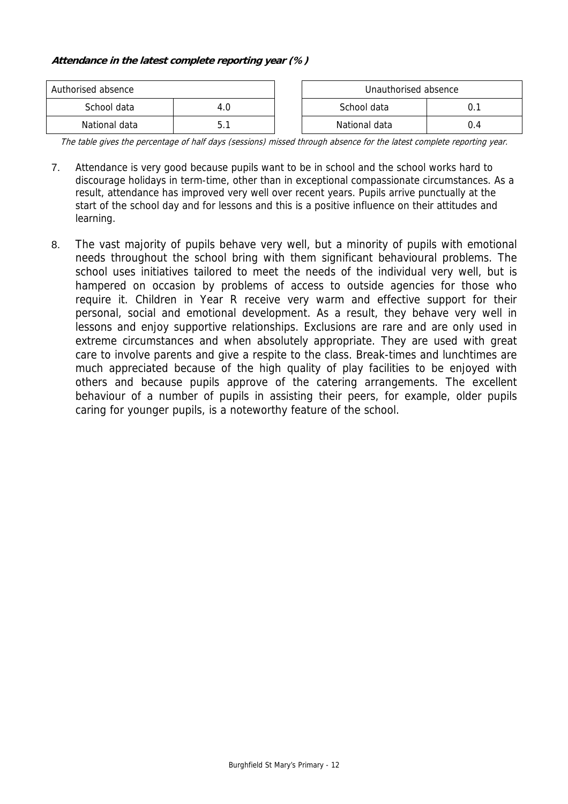#### **Attendance in the latest complete reporting year (%)**

| Authorised absence |     |  | Unauthorised absence |    |  |
|--------------------|-----|--|----------------------|----|--|
| School data        | 4.0 |  |                      |    |  |
| National data      | h.  |  | National data        | 14 |  |

The table gives the percentage of half days (sessions) missed through absence for the latest complete reporting year.

- 7. Attendance is very good because pupils want to be in school and the school works hard to discourage holidays in term-time, other than in exceptional compassionate circumstances. As a result, attendance has improved very well over recent years. Pupils arrive punctually at the start of the school day and for lessons and this is a positive influence on their attitudes and learning.
- 8. The vast majority of pupils behave very well, but a minority of pupils with emotional needs throughout the school bring with them significant behavioural problems. The school uses initiatives tailored to meet the needs of the individual very well, but is hampered on occasion by problems of access to outside agencies for those who require it. Children in Year R receive very warm and effective support for their personal, social and emotional development. As a result, they behave very well in lessons and enjoy supportive relationships. Exclusions are rare and are only used in extreme circumstances and when absolutely appropriate. They are used with great care to involve parents and give a respite to the class. Break-times and lunchtimes are much appreciated because of the high quality of play facilities to be enjoyed with others and because pupils approve of the catering arrangements. The excellent behaviour of a number of pupils in assisting their peers, for example, older pupils caring for younger pupils, is a noteworthy feature of the school.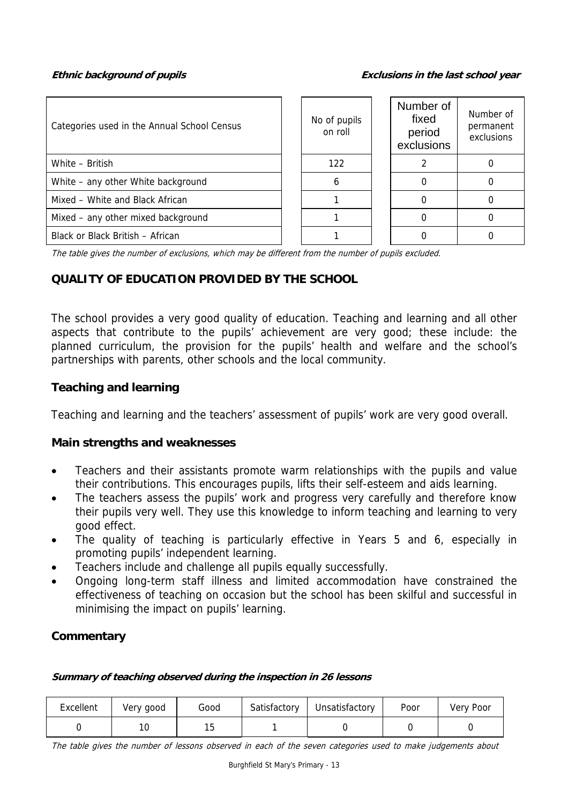**Ethnic background of pupils Exclusions in the last school year**

| Categories used in the Annual School Census | No of pupils<br>on roll | Number of<br>fixed<br>period<br>exclusions | Number of<br>permanent<br>exclusions |
|---------------------------------------------|-------------------------|--------------------------------------------|--------------------------------------|
| White - British                             | 122                     |                                            |                                      |
| White – any other White background          | h                       |                                            |                                      |
| Mixed - White and Black African             |                         |                                            |                                      |
| Mixed – any other mixed background          |                         |                                            |                                      |
| Black or Black British - African            |                         |                                            |                                      |

The table gives the number of exclusions, which may be different from the number of pupils excluded.

# **QUALITY OF EDUCATION PROVIDED BY THE SCHOOL**

The school provides a very good quality of education. Teaching and learning and all other aspects that contribute to the pupils' achievement are very good; these include: the planned curriculum, the provision for the pupils' health and welfare and the school's partnerships with parents, other schools and the local community.

## **Teaching and learning**

Teaching and learning and the teachers' assessment of pupils' work are very good overall.

#### **Main strengths and weaknesses**

- Teachers and their assistants promote warm relationships with the pupils and value their contributions. This encourages pupils, lifts their self-esteem and aids learning.
- The teachers assess the pupils' work and progress very carefully and therefore know their pupils very well. They use this knowledge to inform teaching and learning to very good effect.
- The quality of teaching is particularly effective in Years 5 and 6, especially in promoting pupils' independent learning.
- Teachers include and challenge all pupils equally successfully.
- Ongoing long-term staff illness and limited accommodation have constrained the effectiveness of teaching on occasion but the school has been skilful and successful in minimising the impact on pupils' learning.

## **Commentary**

#### **Summary of teaching observed during the inspection in 26 lessons**

| Excellent | Very good | Good | Satisfactory | Unsatisfactory | Poor | Very Poor |
|-----------|-----------|------|--------------|----------------|------|-----------|
|           | 10        |      |              |                |      |           |

The table gives the number of lessons observed in each of the seven categories used to make judgements about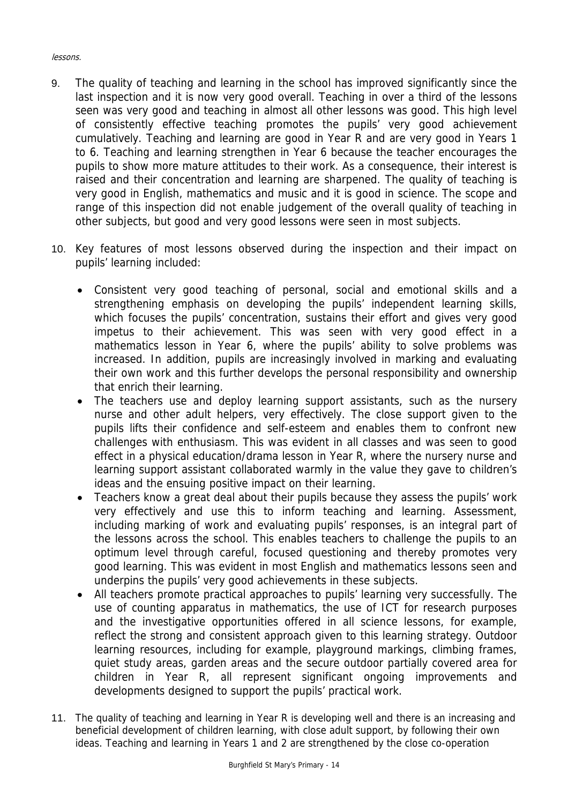#### lessons.

- 9. The quality of teaching and learning in the school has improved significantly since the last inspection and it is now very good overall. Teaching in over a third of the lessons seen was very good and teaching in almost all other lessons was good. This high level of consistently effective teaching promotes the pupils' very good achievement cumulatively. Teaching and learning are good in Year R and are very good in Years 1 to 6. Teaching and learning strengthen in Year 6 because the teacher encourages the pupils to show more mature attitudes to their work. As a consequence, their interest is raised and their concentration and learning are sharpened. The quality of teaching is very good in English, mathematics and music and it is good in science. The scope and range of this inspection did not enable judgement of the overall quality of teaching in other subjects, but good and very good lessons were seen in most subjects.
- 10. Key features of most lessons observed during the inspection and their impact on pupils' learning included:
	- Consistent very good teaching of personal, social and emotional skills and a strengthening emphasis on developing the pupils' independent learning skills, which focuses the pupils' concentration, sustains their effort and gives very good impetus to their achievement. This was seen with very good effect in a mathematics lesson in Year 6, where the pupils' ability to solve problems was increased. In addition, pupils are increasingly involved in marking and evaluating their own work and this further develops the personal responsibility and ownership that enrich their learning.
	- The teachers use and deploy learning support assistants, such as the nursery nurse and other adult helpers, very effectively. The close support given to the pupils lifts their confidence and self-esteem and enables them to confront new challenges with enthusiasm. This was evident in all classes and was seen to good effect in a physical education/drama lesson in Year R, where the nursery nurse and learning support assistant collaborated warmly in the value they gave to children's ideas and the ensuing positive impact on their learning.
	- Teachers know a great deal about their pupils because they assess the pupils' work very effectively and use this to inform teaching and learning. Assessment, including marking of work and evaluating pupils' responses, is an integral part of the lessons across the school. This enables teachers to challenge the pupils to an optimum level through careful, focused questioning and thereby promotes very good learning. This was evident in most English and mathematics lessons seen and underpins the pupils' very good achievements in these subjects.
	- All teachers promote practical approaches to pupils' learning very successfully. The use of counting apparatus in mathematics, the use of ICT for research purposes and the investigative opportunities offered in all science lessons, for example, reflect the strong and consistent approach given to this learning strategy. Outdoor learning resources, including for example, playground markings, climbing frames, quiet study areas, garden areas and the secure outdoor partially covered area for children in Year R, all represent significant ongoing improvements and developments designed to support the pupils' practical work.
- 11. The quality of teaching and learning in Year R is developing well and there is an increasing and beneficial development of children learning, with close adult support, by following their own ideas. Teaching and learning in Years 1 and 2 are strengthened by the close co-operation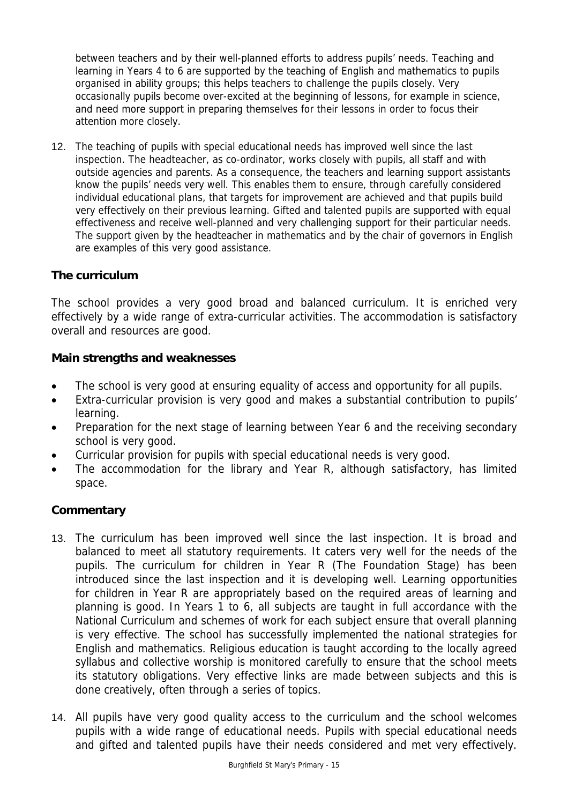between teachers and by their well-planned efforts to address pupils' needs. Teaching and learning in Years 4 to 6 are supported by the teaching of English and mathematics to pupils organised in ability groups; this helps teachers to challenge the pupils closely. Very occasionally pupils become over-excited at the beginning of lessons, for example in science, and need more support in preparing themselves for their lessons in order to focus their attention more closely.

12. The teaching of pupils with special educational needs has improved well since the last inspection. The headteacher, as co-ordinator, works closely with pupils, all staff and with outside agencies and parents. As a consequence, the teachers and learning support assistants know the pupils' needs very well. This enables them to ensure, through carefully considered individual educational plans, that targets for improvement are achieved and that pupils build very effectively on their previous learning. Gifted and talented pupils are supported with equal effectiveness and receive well-planned and very challenging support for their particular needs. The support given by the headteacher in mathematics and by the chair of governors in English are examples of this very good assistance.

## **The curriculum**

The school provides a very good broad and balanced curriculum. It is enriched very effectively by a wide range of extra-curricular activities. The accommodation is satisfactory overall and resources are good.

#### **Main strengths and weaknesses**

- The school is very good at ensuring equality of access and opportunity for all pupils.
- Extra-curricular provision is very good and makes a substantial contribution to pupils' learning.
- Preparation for the next stage of learning between Year 6 and the receiving secondary school is very good.
- Curricular provision for pupils with special educational needs is very good.
- The accommodation for the library and Year R, although satisfactory, has limited space.

## **Commentary**

- 13. The curriculum has been improved well since the last inspection. It is broad and balanced to meet all statutory requirements. It caters very well for the needs of the pupils. The curriculum for children in Year R (The Foundation Stage) has been introduced since the last inspection and it is developing well. Learning opportunities for children in Year R are appropriately based on the required areas of learning and planning is good. In Years 1 to 6, all subjects are taught in full accordance with the National Curriculum and schemes of work for each subject ensure that overall planning is very effective. The school has successfully implemented the national strategies for English and mathematics. Religious education is taught according to the locally agreed syllabus and collective worship is monitored carefully to ensure that the school meets its statutory obligations. Very effective links are made between subjects and this is done creatively, often through a series of topics.
- 14. All pupils have very good quality access to the curriculum and the school welcomes pupils with a wide range of educational needs. Pupils with special educational needs and gifted and talented pupils have their needs considered and met very effectively.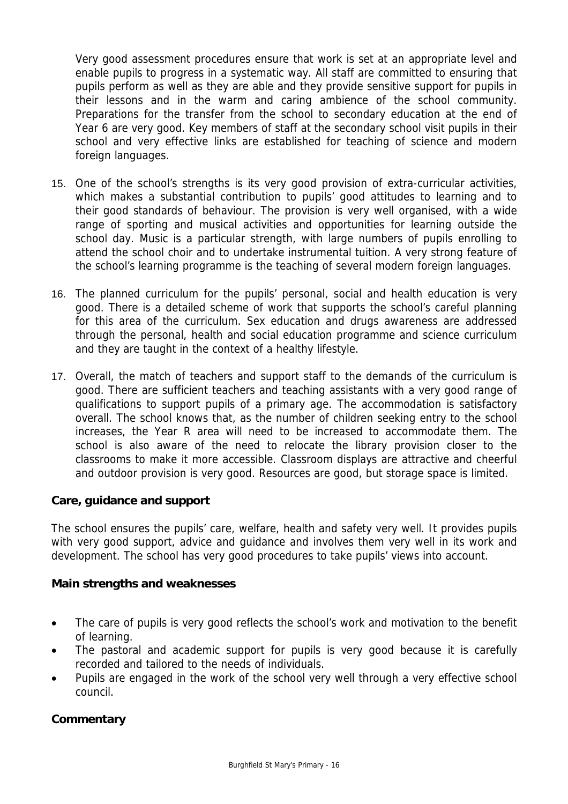Very good assessment procedures ensure that work is set at an appropriate level and enable pupils to progress in a systematic way. All staff are committed to ensuring that pupils perform as well as they are able and they provide sensitive support for pupils in their lessons and in the warm and caring ambience of the school community. Preparations for the transfer from the school to secondary education at the end of Year 6 are very good. Key members of staff at the secondary school visit pupils in their school and very effective links are established for teaching of science and modern foreign languages.

- 15. One of the school's strengths is its very good provision of extra-curricular activities, which makes a substantial contribution to pupils' good attitudes to learning and to their good standards of behaviour. The provision is very well organised, with a wide range of sporting and musical activities and opportunities for learning outside the school day. Music is a particular strength, with large numbers of pupils enrolling to attend the school choir and to undertake instrumental tuition. A very strong feature of the school's learning programme is the teaching of several modern foreign languages.
- 16. The planned curriculum for the pupils' personal, social and health education is very good. There is a detailed scheme of work that supports the school's careful planning for this area of the curriculum. Sex education and drugs awareness are addressed through the personal, health and social education programme and science curriculum and they are taught in the context of a healthy lifestyle.
- 17. Overall, the match of teachers and support staff to the demands of the curriculum is good. There are sufficient teachers and teaching assistants with a very good range of qualifications to support pupils of a primary age. The accommodation is satisfactory overall. The school knows that, as the number of children seeking entry to the school increases, the Year R area will need to be increased to accommodate them. The school is also aware of the need to relocate the library provision closer to the classrooms to make it more accessible. Classroom displays are attractive and cheerful and outdoor provision is very good. Resources are good, but storage space is limited.

## **Care, guidance and support**

The school ensures the pupils' care, welfare, health and safety very well. It provides pupils with very good support, advice and guidance and involves them very well in its work and development. The school has very good procedures to take pupils' views into account.

#### **Main strengths and weaknesses**

- The care of pupils is very good reflects the school's work and motivation to the benefit of learning.
- The pastoral and academic support for pupils is very good because it is carefully recorded and tailored to the needs of individuals.
- Pupils are engaged in the work of the school very well through a very effective school council.

## **Commentary**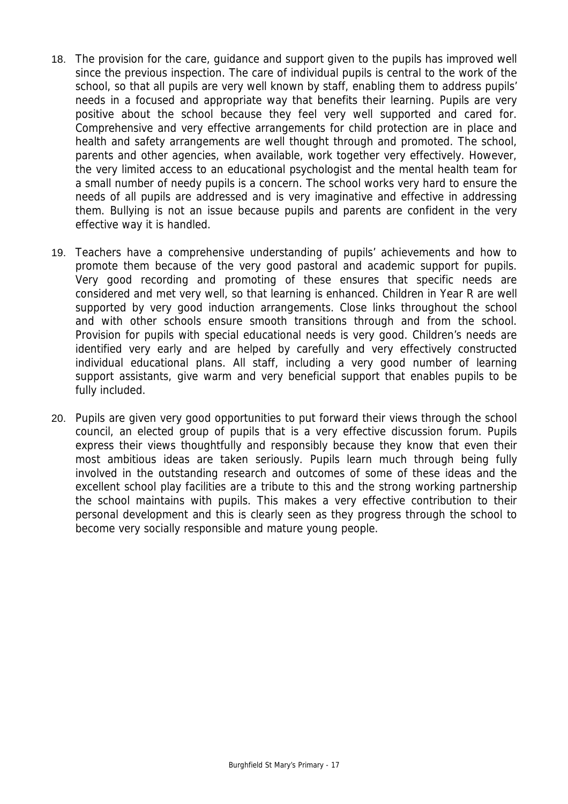- 18. The provision for the care, guidance and support given to the pupils has improved well since the previous inspection. The care of individual pupils is central to the work of the school, so that all pupils are very well known by staff, enabling them to address pupils' needs in a focused and appropriate way that benefits their learning. Pupils are very positive about the school because they feel very well supported and cared for. Comprehensive and very effective arrangements for child protection are in place and health and safety arrangements are well thought through and promoted. The school, parents and other agencies, when available, work together very effectively. However, the very limited access to an educational psychologist and the mental health team for a small number of needy pupils is a concern. The school works very hard to ensure the needs of all pupils are addressed and is very imaginative and effective in addressing them. Bullying is not an issue because pupils and parents are confident in the very effective way it is handled.
- 19. Teachers have a comprehensive understanding of pupils' achievements and how to promote them because of the very good pastoral and academic support for pupils. Very good recording and promoting of these ensures that specific needs are considered and met very well, so that learning is enhanced. Children in Year R are well supported by very good induction arrangements. Close links throughout the school and with other schools ensure smooth transitions through and from the school. Provision for pupils with special educational needs is very good. Children's needs are identified very early and are helped by carefully and very effectively constructed individual educational plans. All staff, including a very good number of learning support assistants, give warm and very beneficial support that enables pupils to be fully included.
- 20. Pupils are given very good opportunities to put forward their views through the school council, an elected group of pupils that is a very effective discussion forum. Pupils express their views thoughtfully and responsibly because they know that even their most ambitious ideas are taken seriously. Pupils learn much through being fully involved in the outstanding research and outcomes of some of these ideas and the excellent school play facilities are a tribute to this and the strong working partnership the school maintains with pupils. This makes a very effective contribution to their personal development and this is clearly seen as they progress through the school to become very socially responsible and mature young people.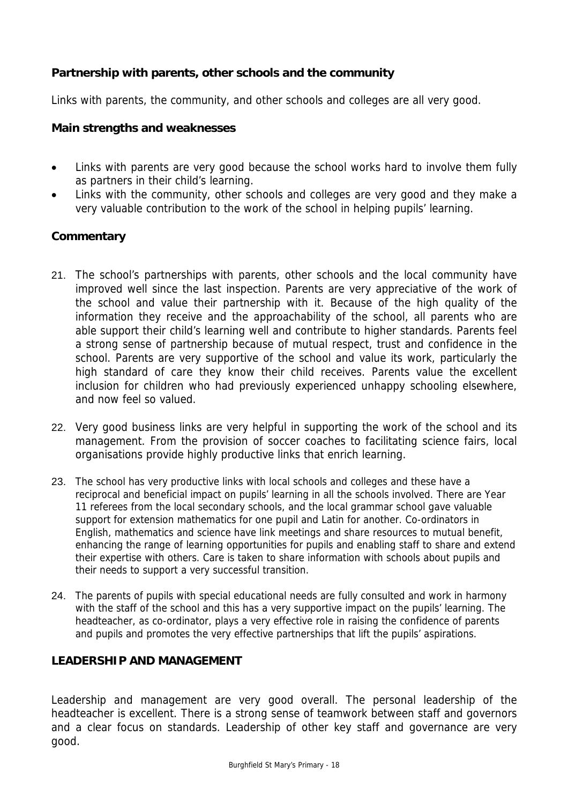## **Partnership with parents, other schools and the community**

Links with parents, the community, and other schools and colleges are all very good.

#### **Main strengths and weaknesses**

- Links with parents are very good because the school works hard to involve them fully as partners in their child's learning.
- Links with the community, other schools and colleges are very good and they make a very valuable contribution to the work of the school in helping pupils' learning.

## **Commentary**

- 21. The school's partnerships with parents, other schools and the local community have improved well since the last inspection. Parents are very appreciative of the work of the school and value their partnership with it. Because of the high quality of the information they receive and the approachability of the school, all parents who are able support their child's learning well and contribute to higher standards. Parents feel a strong sense of partnership because of mutual respect, trust and confidence in the school. Parents are very supportive of the school and value its work, particularly the high standard of care they know their child receives. Parents value the excellent inclusion for children who had previously experienced unhappy schooling elsewhere, and now feel so valued.
- 22. Very good business links are very helpful in supporting the work of the school and its management. From the provision of soccer coaches to facilitating science fairs, local organisations provide highly productive links that enrich learning.
- 23. The school has very productive links with local schools and colleges and these have a reciprocal and beneficial impact on pupils' learning in all the schools involved. There are Year 11 referees from the local secondary schools, and the local grammar school gave valuable support for extension mathematics for one pupil and Latin for another. Co-ordinators in English, mathematics and science have link meetings and share resources to mutual benefit, enhancing the range of learning opportunities for pupils and enabling staff to share and extend their expertise with others. Care is taken to share information with schools about pupils and their needs to support a very successful transition.
- 24. The parents of pupils with special educational needs are fully consulted and work in harmony with the staff of the school and this has a very supportive impact on the pupils' learning. The headteacher, as co-ordinator, plays a very effective role in raising the confidence of parents and pupils and promotes the very effective partnerships that lift the pupils' aspirations.

#### **LEADERSHIP AND MANAGEMENT**

Leadership and management are very good overall. The personal leadership of the headteacher is excellent. There is a strong sense of teamwork between staff and governors and a clear focus on standards. Leadership of other key staff and governance are very good.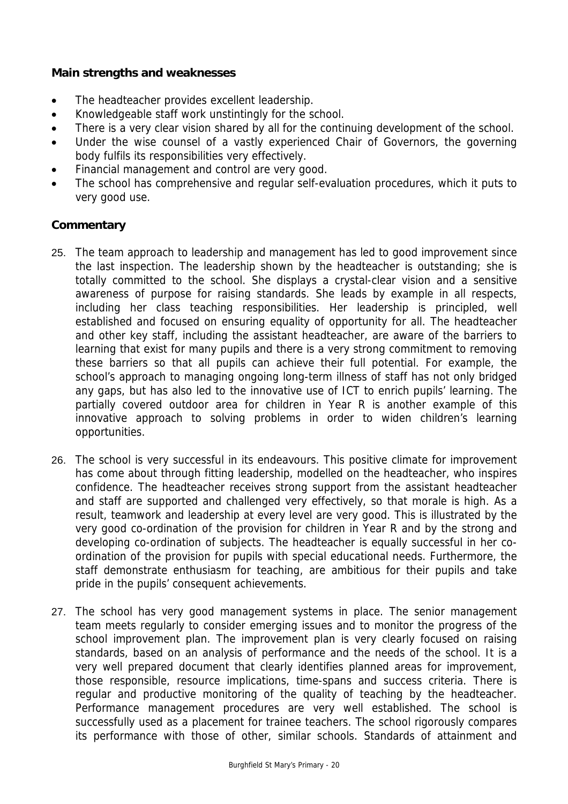#### **Main strengths and weaknesses**

- The headteacher provides excellent leadership.
- Knowledgeable staff work unstintingly for the school.
- There is a very clear vision shared by all for the continuing development of the school.
- Under the wise counsel of a vastly experienced Chair of Governors, the governing body fulfils its responsibilities very effectively.
- Financial management and control are very good.
- The school has comprehensive and regular self-evaluation procedures, which it puts to very good use.

## **Commentary**

- 25. The team approach to leadership and management has led to good improvement since the last inspection. The leadership shown by the headteacher is outstanding; she is totally committed to the school. She displays a crystal-clear vision and a sensitive awareness of purpose for raising standards. She leads by example in all respects, including her class teaching responsibilities. Her leadership is principled, well established and focused on ensuring equality of opportunity for all. The headteacher and other key staff, including the assistant headteacher, are aware of the barriers to learning that exist for many pupils and there is a very strong commitment to removing these barriers so that all pupils can achieve their full potential. For example, the school's approach to managing ongoing long-term illness of staff has not only bridged any gaps, but has also led to the innovative use of ICT to enrich pupils' learning. The partially covered outdoor area for children in Year R is another example of this innovative approach to solving problems in order to widen children's learning opportunities.
- 26. The school is very successful in its endeavours. This positive climate for improvement has come about through fitting leadership, modelled on the headteacher, who inspires confidence. The headteacher receives strong support from the assistant headteacher and staff are supported and challenged very effectively, so that morale is high. As a result, teamwork and leadership at every level are very good. This is illustrated by the very good co-ordination of the provision for children in Year R and by the strong and developing co-ordination of subjects. The headteacher is equally successful in her coordination of the provision for pupils with special educational needs. Furthermore, the staff demonstrate enthusiasm for teaching, are ambitious for their pupils and take pride in the pupils' consequent achievements.
- 27. The school has very good management systems in place. The senior management team meets regularly to consider emerging issues and to monitor the progress of the school improvement plan. The improvement plan is very clearly focused on raising standards, based on an analysis of performance and the needs of the school. It is a very well prepared document that clearly identifies planned areas for improvement, those responsible, resource implications, time-spans and success criteria. There is regular and productive monitoring of the quality of teaching by the headteacher. Performance management procedures are very well established. The school is successfully used as a placement for trainee teachers. The school rigorously compares its performance with those of other, similar schools. Standards of attainment and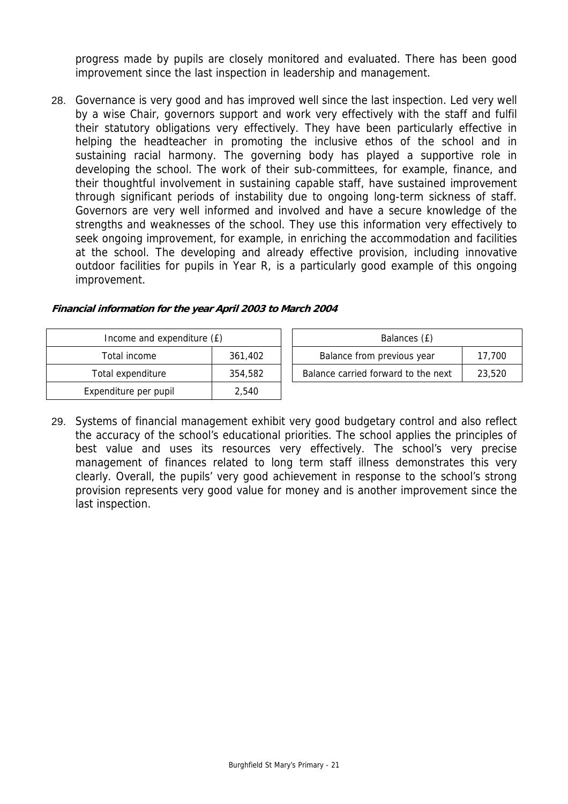progress made by pupils are closely monitored and evaluated. There has been good improvement since the last inspection in leadership and management.

28. Governance is very good and has improved well since the last inspection. Led very well by a wise Chair, governors support and work very effectively with the staff and fulfil their statutory obligations very effectively. They have been particularly effective in helping the headteacher in promoting the inclusive ethos of the school and in sustaining racial harmony. The governing body has played a supportive role in developing the school. The work of their sub-committees, for example, finance, and their thoughtful involvement in sustaining capable staff, have sustained improvement through significant periods of instability due to ongoing long-term sickness of staff. Governors are very well informed and involved and have a secure knowledge of the strengths and weaknesses of the school. They use this information very effectively to seek ongoing improvement, for example, in enriching the accommodation and facilities at the school. The developing and already effective provision, including innovative outdoor facilities for pupils in Year R, is a particularly good example of this ongoing improvement.

| Income and expenditure (£) |         | Balances (£)                                  |
|----------------------------|---------|-----------------------------------------------|
| Total income               | 361,402 | Balance from previous year<br>17.700          |
| Total expenditure          | 354,582 | Balance carried forward to the next<br>23,520 |
| Expenditure per pupil      | 2.540   |                                               |

#### **Financial information for the year April 2003 to March 2004**

29. Systems of financial management exhibit very good budgetary control and also reflect the accuracy of the school's educational priorities. The school applies the principles of best value and uses its resources very effectively. The school's very precise management of finances related to long term staff illness demonstrates this very clearly. Overall, the pupils' very good achievement in response to the school's strong provision represents very good value for money and is another improvement since the last inspection.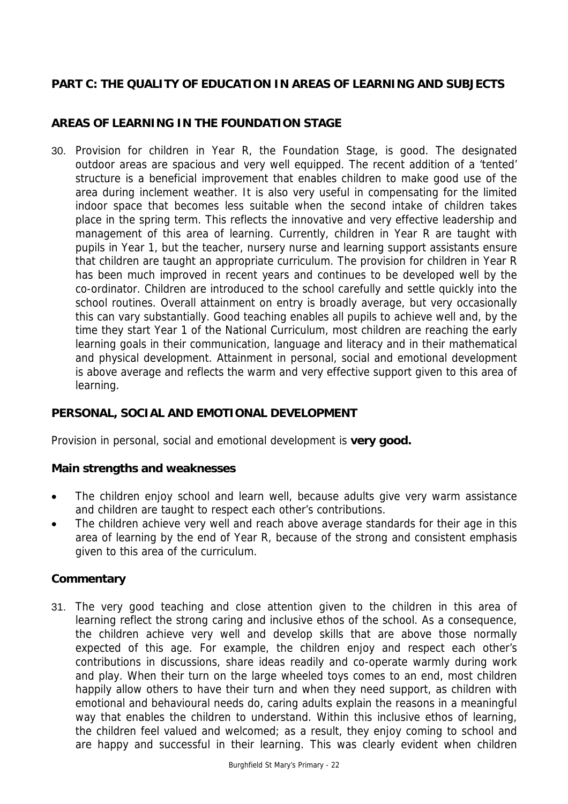## **PART C: THE QUALITY OF EDUCATION IN AREAS OF LEARNING AND SUBJECTS**

# **AREAS OF LEARNING IN THE FOUNDATION STAGE**

30. Provision for children in Year R, the Foundation Stage, is good. The designated outdoor areas are spacious and very well equipped. The recent addition of a 'tented' structure is a beneficial improvement that enables children to make good use of the area during inclement weather. It is also very useful in compensating for the limited indoor space that becomes less suitable when the second intake of children takes place in the spring term. This reflects the innovative and very effective leadership and management of this area of learning. Currently, children in Year R are taught with pupils in Year 1, but the teacher, nursery nurse and learning support assistants ensure that children are taught an appropriate curriculum. The provision for children in Year R has been much improved in recent years and continues to be developed well by the co-ordinator. Children are introduced to the school carefully and settle quickly into the school routines. Overall attainment on entry is broadly average, but very occasionally this can vary substantially. Good teaching enables all pupils to achieve well and, by the time they start Year 1 of the National Curriculum, most children are reaching the early learning goals in their communication, language and literacy and in their mathematical and physical development. Attainment in personal, social and emotional development is above average and reflects the warm and very effective support given to this area of learning.

## **PERSONAL, SOCIAL AND EMOTIONAL DEVELOPMENT**

Provision in personal, social and emotional development is **very good.** 

#### **Main strengths and weaknesses**

- The children enjoy school and learn well, because adults give very warm assistance and children are taught to respect each other's contributions.
- The children achieve very well and reach above average standards for their age in this area of learning by the end of Year R, because of the strong and consistent emphasis given to this area of the curriculum.

## **Commentary**

31. The very good teaching and close attention given to the children in this area of learning reflect the strong caring and inclusive ethos of the school. As a consequence, the children achieve very well and develop skills that are above those normally expected of this age. For example, the children enjoy and respect each other's contributions in discussions, share ideas readily and co-operate warmly during work and play. When their turn on the large wheeled toys comes to an end, most children happily allow others to have their turn and when they need support, as children with emotional and behavioural needs do, caring adults explain the reasons in a meaningful way that enables the children to understand. Within this inclusive ethos of learning, the children feel valued and welcomed; as a result, they enjoy coming to school and are happy and successful in their learning. This was clearly evident when children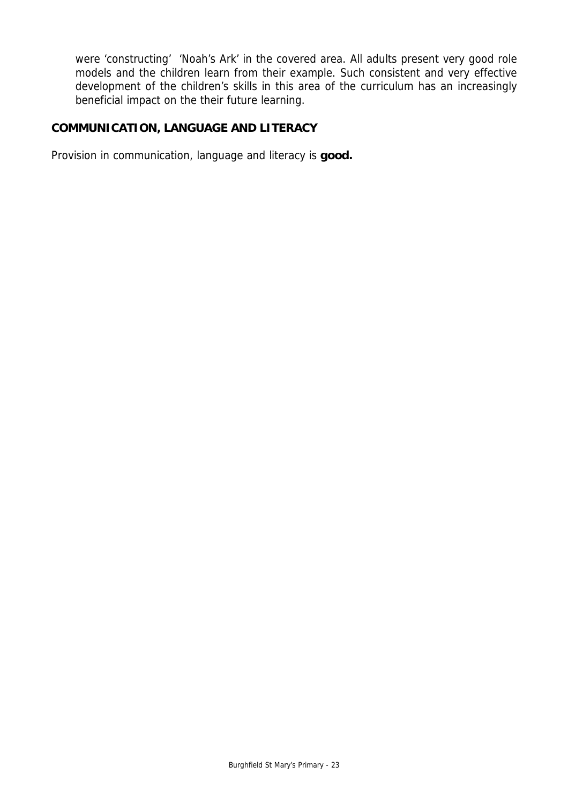were 'constructing' 'Noah's Ark' in the covered area. All adults present very good role models and the children learn from their example. Such consistent and very effective development of the children's skills in this area of the curriculum has an increasingly beneficial impact on the their future learning.

## **COMMUNICATION, LANGUAGE AND LITERACY**

Provision in communication, language and literacy is **good.**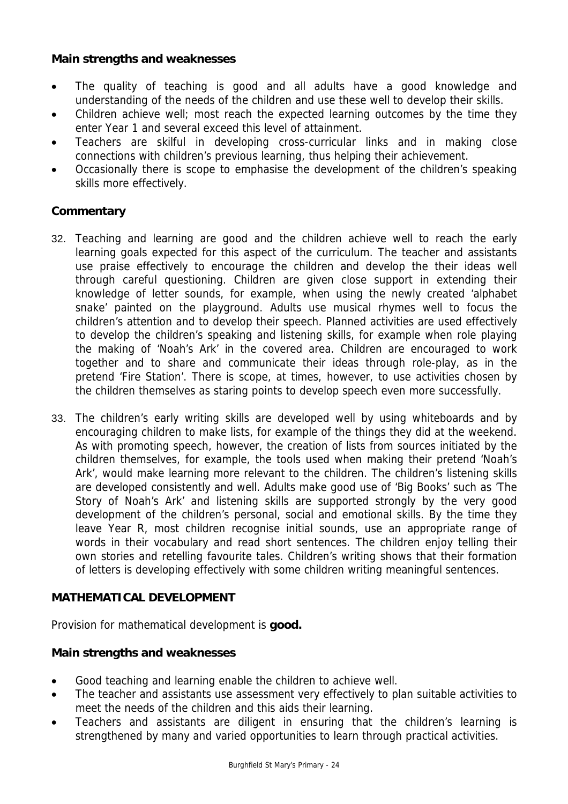## **Main strengths and weaknesses**

- The quality of teaching is good and all adults have a good knowledge and understanding of the needs of the children and use these well to develop their skills.
- Children achieve well; most reach the expected learning outcomes by the time they enter Year 1 and several exceed this level of attainment.
- Teachers are skilful in developing cross-curricular links and in making close connections with children's previous learning, thus helping their achievement.
- Occasionally there is scope to emphasise the development of the children's speaking skills more effectively.

## **Commentary**

- 32. Teaching and learning are good and the children achieve well to reach the early learning goals expected for this aspect of the curriculum. The teacher and assistants use praise effectively to encourage the children and develop the their ideas well through careful questioning. Children are given close support in extending their knowledge of letter sounds, for example, when using the newly created 'alphabet snake' painted on the playground. Adults use musical rhymes well to focus the children's attention and to develop their speech. Planned activities are used effectively to develop the children's speaking and listening skills, for example when role playing the making of 'Noah's Ark' in the covered area. Children are encouraged to work together and to share and communicate their ideas through role-play, as in the pretend 'Fire Station'. There is scope, at times, however, to use activities chosen by the children themselves as staring points to develop speech even more successfully.
- 33. The children's early writing skills are developed well by using whiteboards and by encouraging children to make lists, for example of the things they did at the weekend. As with promoting speech, however, the creation of lists from sources initiated by the children themselves, for example, the tools used when making their pretend 'Noah's Ark', would make learning more relevant to the children. The children's listening skills are developed consistently and well. Adults make good use of 'Big Books' such as 'The Story of Noah's Ark' and listening skills are supported strongly by the very good development of the children's personal, social and emotional skills. By the time they leave Year R, most children recognise initial sounds, use an appropriate range of words in their vocabulary and read short sentences. The children enjoy telling their own stories and retelling favourite tales. Children's writing shows that their formation of letters is developing effectively with some children writing meaningful sentences.

## **MATHEMATICAL DEVELOPMENT**

Provision for mathematical development is **good.** 

#### **Main strengths and weaknesses**

- Good teaching and learning enable the children to achieve well.
- The teacher and assistants use assessment very effectively to plan suitable activities to meet the needs of the children and this aids their learning.
- Teachers and assistants are diligent in ensuring that the children's learning is strengthened by many and varied opportunities to learn through practical activities.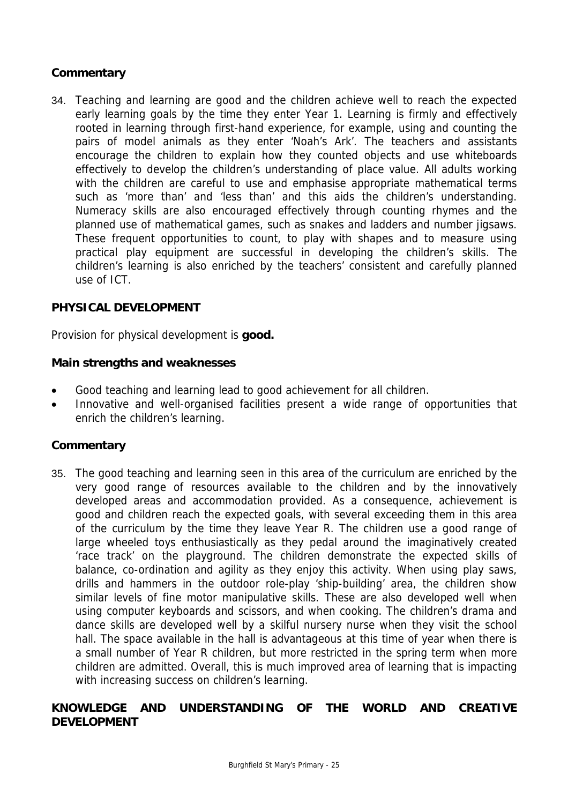## **Commentary**

34. Teaching and learning are good and the children achieve well to reach the expected early learning goals by the time they enter Year 1. Learning is firmly and effectively rooted in learning through first-hand experience, for example, using and counting the pairs of model animals as they enter 'Noah's Ark'. The teachers and assistants encourage the children to explain how they counted objects and use whiteboards effectively to develop the children's understanding of place value. All adults working with the children are careful to use and emphasise appropriate mathematical terms such as 'more than' and 'less than' and this aids the children's understanding. Numeracy skills are also encouraged effectively through counting rhymes and the planned use of mathematical games, such as snakes and ladders and number jigsaws. These frequent opportunities to count, to play with shapes and to measure using practical play equipment are successful in developing the children's skills. The children's learning is also enriched by the teachers' consistent and carefully planned use of ICT.

## **PHYSICAL DEVELOPMENT**

Provision for physical development is **good.** 

#### **Main strengths and weaknesses**

- Good teaching and learning lead to good achievement for all children.
- Innovative and well-organised facilities present a wide range of opportunities that enrich the children's learning.

#### **Commentary**

35. The good teaching and learning seen in this area of the curriculum are enriched by the very good range of resources available to the children and by the innovatively developed areas and accommodation provided. As a consequence, achievement is good and children reach the expected goals, with several exceeding them in this area of the curriculum by the time they leave Year R. The children use a good range of large wheeled toys enthusiastically as they pedal around the imaginatively created 'race track' on the playground. The children demonstrate the expected skills of balance, co-ordination and agility as they enjoy this activity. When using play saws, drills and hammers in the outdoor role-play 'ship-building' area, the children show similar levels of fine motor manipulative skills. These are also developed well when using computer keyboards and scissors, and when cooking. The children's drama and dance skills are developed well by a skilful nursery nurse when they visit the school hall. The space available in the hall is advantageous at this time of year when there is a small number of Year R children, but more restricted in the spring term when more children are admitted. Overall, this is much improved area of learning that is impacting with increasing success on children's learning.

## **KNOWLEDGE AND UNDERSTANDING OF THE WORLD AND CREATIVE DEVELOPMENT**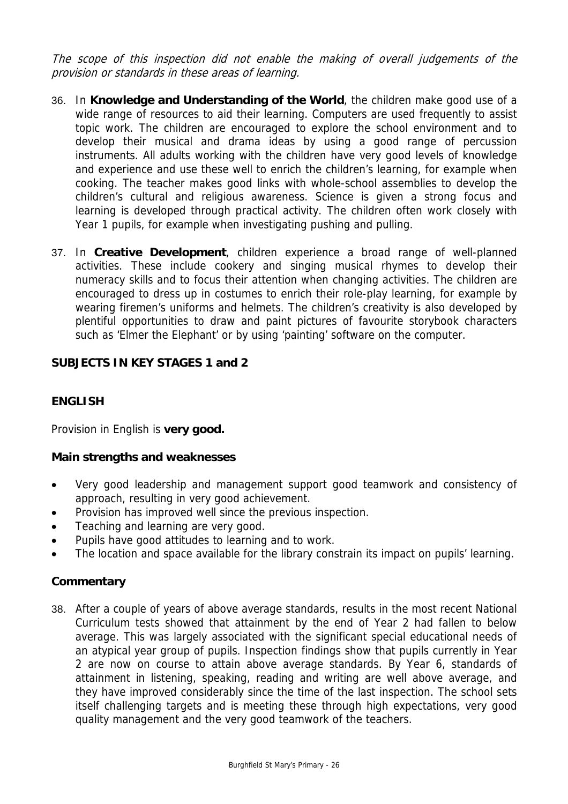The scope of this inspection did not enable the making of overall judgements of the provision or standards in these areas of learning.

- 36. In **Knowledge and Understanding of the World**, the children make good use of a wide range of resources to aid their learning. Computers are used frequently to assist topic work. The children are encouraged to explore the school environment and to develop their musical and drama ideas by using a good range of percussion instruments. All adults working with the children have very good levels of knowledge and experience and use these well to enrich the children's learning, for example when cooking. The teacher makes good links with whole-school assemblies to develop the children's cultural and religious awareness. Science is given a strong focus and learning is developed through practical activity. The children often work closely with Year 1 pupils, for example when investigating pushing and pulling.
- 37. In **Creative Development**, children experience a broad range of well-planned activities. These include cookery and singing musical rhymes to develop their numeracy skills and to focus their attention when changing activities. The children are encouraged to dress up in costumes to enrich their role-play learning, for example by wearing firemen's uniforms and helmets. The children's creativity is also developed by plentiful opportunities to draw and paint pictures of favourite storybook characters such as 'Elmer the Elephant' or by using 'painting' software on the computer.

## **SUBJECTS IN KEY STAGES 1 and 2**

## **ENGLISH**

Provision in English is **very good.** 

#### **Main strengths and weaknesses**

- Very good leadership and management support good teamwork and consistency of approach, resulting in very good achievement.
- Provision has improved well since the previous inspection.
- Teaching and learning are very good.
- Pupils have good attitudes to learning and to work.
- The location and space available for the library constrain its impact on pupils' learning.

#### **Commentary**

38. After a couple of years of above average standards, results in the most recent National Curriculum tests showed that attainment by the end of Year 2 had fallen to below average. This was largely associated with the significant special educational needs of an atypical year group of pupils. Inspection findings show that pupils currently in Year 2 are now on course to attain above average standards. By Year 6, standards of attainment in listening, speaking, reading and writing are well above average, and they have improved considerably since the time of the last inspection. The school sets itself challenging targets and is meeting these through high expectations, very good quality management and the very good teamwork of the teachers.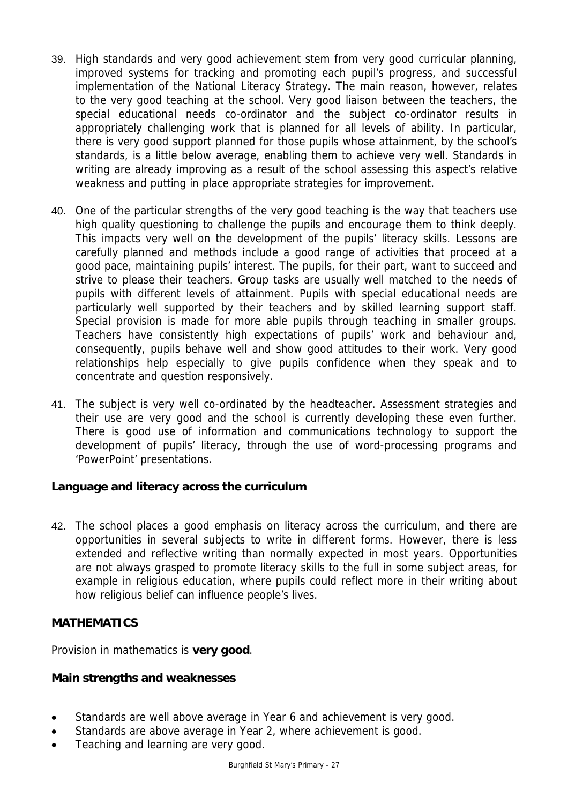- 39. High standards and very good achievement stem from very good curricular planning, improved systems for tracking and promoting each pupil's progress, and successful implementation of the National Literacy Strategy. The main reason, however, relates to the very good teaching at the school. Very good liaison between the teachers, the special educational needs co-ordinator and the subject co-ordinator results in appropriately challenging work that is planned for all levels of ability. In particular, there is very good support planned for those pupils whose attainment, by the school's standards, is a little below average, enabling them to achieve very well. Standards in writing are already improving as a result of the school assessing this aspect's relative weakness and putting in place appropriate strategies for improvement.
- 40. One of the particular strengths of the very good teaching is the way that teachers use high quality questioning to challenge the pupils and encourage them to think deeply. This impacts very well on the development of the pupils' literacy skills. Lessons are carefully planned and methods include a good range of activities that proceed at a good pace, maintaining pupils' interest. The pupils, for their part, want to succeed and strive to please their teachers. Group tasks are usually well matched to the needs of pupils with different levels of attainment. Pupils with special educational needs are particularly well supported by their teachers and by skilled learning support staff. Special provision is made for more able pupils through teaching in smaller groups. Teachers have consistently high expectations of pupils' work and behaviour and, consequently, pupils behave well and show good attitudes to their work. Very good relationships help especially to give pupils confidence when they speak and to concentrate and question responsively.
- 41. The subject is very well co-ordinated by the headteacher. Assessment strategies and their use are very good and the school is currently developing these even further. There is good use of information and communications technology to support the development of pupils' literacy, through the use of word-processing programs and 'PowerPoint' presentations.

## **Language and literacy across the curriculum**

42. The school places a good emphasis on literacy across the curriculum, and there are opportunities in several subjects to write in different forms. However, there is less extended and reflective writing than normally expected in most years. Opportunities are not always grasped to promote literacy skills to the full in some subject areas, for example in religious education, where pupils could reflect more in their writing about how religious belief can influence people's lives.

#### **MATHEMATICS**

Provision in mathematics is **very good**.

#### **Main strengths and weaknesses**

- Standards are well above average in Year 6 and achievement is very good.
- Standards are above average in Year 2, where achievement is good.
- Teaching and learning are very good.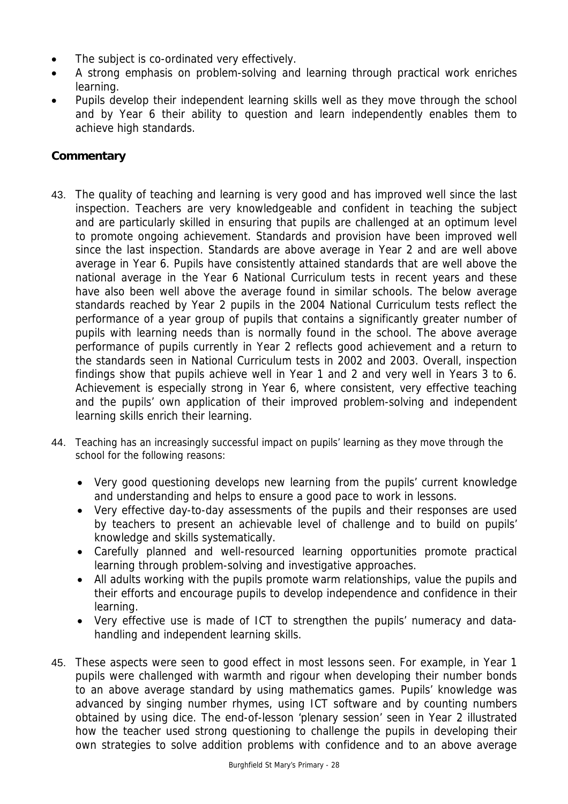- The subject is co-ordinated very effectively.
- A strong emphasis on problem-solving and learning through practical work enriches learning.
- Pupils develop their independent learning skills well as they move through the school and by Year 6 their ability to question and learn independently enables them to achieve high standards.

## **Commentary**

- 43. The quality of teaching and learning is very good and has improved well since the last inspection. Teachers are very knowledgeable and confident in teaching the subject and are particularly skilled in ensuring that pupils are challenged at an optimum level to promote ongoing achievement. Standards and provision have been improved well since the last inspection. Standards are above average in Year 2 and are well above average in Year 6. Pupils have consistently attained standards that are well above the national average in the Year 6 National Curriculum tests in recent years and these have also been well above the average found in similar schools. The below average standards reached by Year 2 pupils in the 2004 National Curriculum tests reflect the performance of a year group of pupils that contains a significantly greater number of pupils with learning needs than is normally found in the school. The above average performance of pupils currently in Year 2 reflects good achievement and a return to the standards seen in National Curriculum tests in 2002 and 2003. Overall, inspection findings show that pupils achieve well in Year 1 and 2 and very well in Years 3 to 6. Achievement is especially strong in Year 6, where consistent, very effective teaching and the pupils' own application of their improved problem-solving and independent learning skills enrich their learning.
- 44. Teaching has an increasingly successful impact on pupils' learning as they move through the school for the following reasons:
	- Very good questioning develops new learning from the pupils' current knowledge and understanding and helps to ensure a good pace to work in lessons.
	- Very effective day-to-day assessments of the pupils and their responses are used by teachers to present an achievable level of challenge and to build on pupils' knowledge and skills systematically.
	- Carefully planned and well-resourced learning opportunities promote practical learning through problem-solving and investigative approaches.
	- All adults working with the pupils promote warm relationships, value the pupils and their efforts and encourage pupils to develop independence and confidence in their learning.
	- Very effective use is made of ICT to strengthen the pupils' numeracy and datahandling and independent learning skills.
- 45. These aspects were seen to good effect in most lessons seen. For example, in Year 1 pupils were challenged with warmth and rigour when developing their number bonds to an above average standard by using mathematics games. Pupils' knowledge was advanced by singing number rhymes, using ICT software and by counting numbers obtained by using dice. The end-of-lesson 'plenary session' seen in Year 2 illustrated how the teacher used strong questioning to challenge the pupils in developing their own strategies to solve addition problems with confidence and to an above average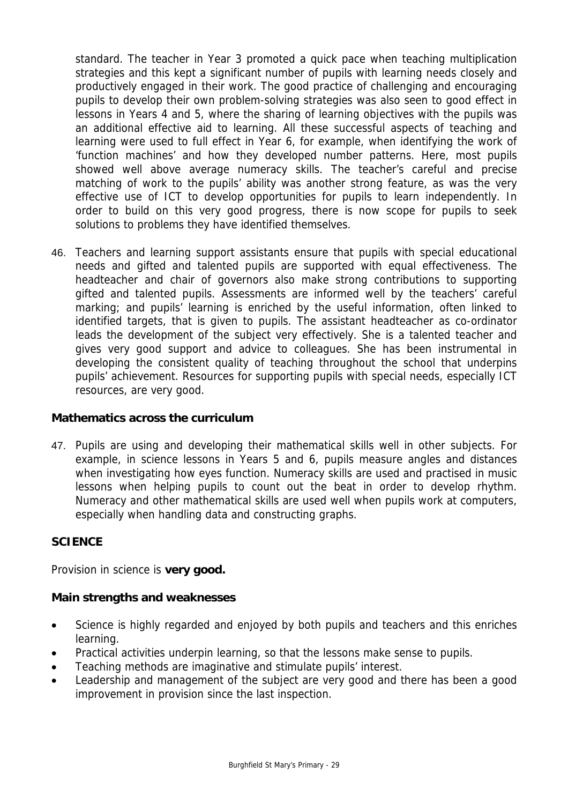standard. The teacher in Year 3 promoted a quick pace when teaching multiplication strategies and this kept a significant number of pupils with learning needs closely and productively engaged in their work. The good practice of challenging and encouraging pupils to develop their own problem-solving strategies was also seen to good effect in lessons in Years 4 and 5, where the sharing of learning objectives with the pupils was an additional effective aid to learning. All these successful aspects of teaching and learning were used to full effect in Year 6, for example, when identifying the work of 'function machines' and how they developed number patterns. Here, most pupils showed well above average numeracy skills. The teacher's careful and precise matching of work to the pupils' ability was another strong feature, as was the very effective use of ICT to develop opportunities for pupils to learn independently. In order to build on this very good progress, there is now scope for pupils to seek solutions to problems they have identified themselves.

46. Teachers and learning support assistants ensure that pupils with special educational needs and gifted and talented pupils are supported with equal effectiveness. The headteacher and chair of governors also make strong contributions to supporting gifted and talented pupils. Assessments are informed well by the teachers' careful marking; and pupils' learning is enriched by the useful information, often linked to identified targets, that is given to pupils. The assistant headteacher as co-ordinator leads the development of the subject very effectively. She is a talented teacher and gives very good support and advice to colleagues. She has been instrumental in developing the consistent quality of teaching throughout the school that underpins pupils' achievement. Resources for supporting pupils with special needs, especially ICT resources, are very good.

## **Mathematics across the curriculum**

47. Pupils are using and developing their mathematical skills well in other subjects. For example, in science lessons in Years 5 and 6, pupils measure angles and distances when investigating how eyes function. Numeracy skills are used and practised in music lessons when helping pupils to count out the beat in order to develop rhythm. Numeracy and other mathematical skills are used well when pupils work at computers, especially when handling data and constructing graphs.

## **SCIENCE**

Provision in science is **very good.** 

#### **Main strengths and weaknesses**

- Science is highly regarded and enjoyed by both pupils and teachers and this enriches learning.
- Practical activities underpin learning, so that the lessons make sense to pupils.
- Teaching methods are imaginative and stimulate pupils' interest.
- Leadership and management of the subject are very good and there has been a good improvement in provision since the last inspection.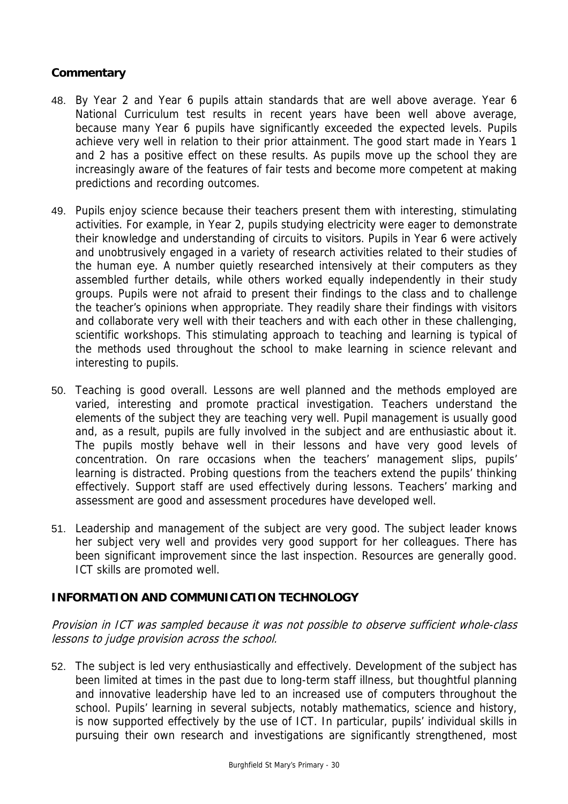## **Commentary**

- 48. By Year 2 and Year 6 pupils attain standards that are well above average. Year 6 National Curriculum test results in recent years have been well above average, because many Year 6 pupils have significantly exceeded the expected levels. Pupils achieve very well in relation to their prior attainment. The good start made in Years 1 and 2 has a positive effect on these results. As pupils move up the school they are increasingly aware of the features of fair tests and become more competent at making predictions and recording outcomes.
- 49. Pupils enjoy science because their teachers present them with interesting, stimulating activities. For example, in Year 2, pupils studying electricity were eager to demonstrate their knowledge and understanding of circuits to visitors. Pupils in Year 6 were actively and unobtrusively engaged in a variety of research activities related to their studies of the human eye. A number quietly researched intensively at their computers as they assembled further details, while others worked equally independently in their study groups. Pupils were not afraid to present their findings to the class and to challenge the teacher's opinions when appropriate. They readily share their findings with visitors and collaborate very well with their teachers and with each other in these challenging, scientific workshops. This stimulating approach to teaching and learning is typical of the methods used throughout the school to make learning in science relevant and interesting to pupils.
- 50. Teaching is good overall. Lessons are well planned and the methods employed are varied, interesting and promote practical investigation. Teachers understand the elements of the subject they are teaching very well. Pupil management is usually good and, as a result, pupils are fully involved in the subject and are enthusiastic about it. The pupils mostly behave well in their lessons and have very good levels of concentration. On rare occasions when the teachers' management slips, pupils' learning is distracted. Probing questions from the teachers extend the pupils' thinking effectively. Support staff are used effectively during lessons. Teachers' marking and assessment are good and assessment procedures have developed well.
- 51. Leadership and management of the subject are very good. The subject leader knows her subject very well and provides very good support for her colleagues. There has been significant improvement since the last inspection. Resources are generally good. ICT skills are promoted well.

## **INFORMATION AND COMMUNICATION TECHNOLOGY**

Provision in ICT was sampled because it was not possible to observe sufficient whole-class lessons to judge provision across the school.

52. The subject is led very enthusiastically and effectively. Development of the subject has been limited at times in the past due to long-term staff illness, but thoughtful planning and innovative leadership have led to an increased use of computers throughout the school. Pupils' learning in several subjects, notably mathematics, science and history, is now supported effectively by the use of ICT. In particular, pupils' individual skills in pursuing their own research and investigations are significantly strengthened, most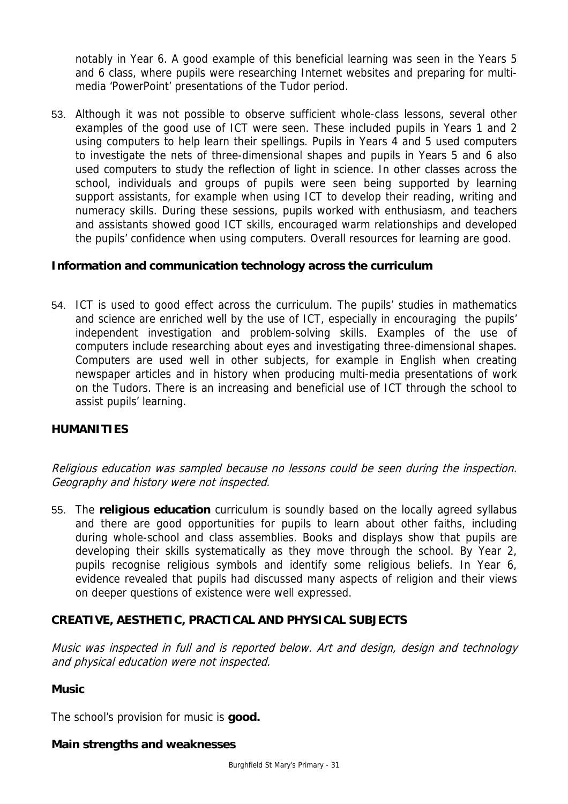notably in Year 6. A good example of this beneficial learning was seen in the Years 5 and 6 class, where pupils were researching Internet websites and preparing for multimedia 'PowerPoint' presentations of the Tudor period.

53. Although it was not possible to observe sufficient whole-class lessons, several other examples of the good use of ICT were seen. These included pupils in Years 1 and 2 using computers to help learn their spellings. Pupils in Years 4 and 5 used computers to investigate the nets of three-dimensional shapes and pupils in Years 5 and 6 also used computers to study the reflection of light in science. In other classes across the school, individuals and groups of pupils were seen being supported by learning support assistants, for example when using ICT to develop their reading, writing and numeracy skills. During these sessions, pupils worked with enthusiasm, and teachers and assistants showed good ICT skills, encouraged warm relationships and developed the pupils' confidence when using computers. Overall resources for learning are good.

## **Information and communication technology across the curriculum**

54. ICT is used to good effect across the curriculum. The pupils' studies in mathematics and science are enriched well by the use of ICT, especially in encouraging the pupils' independent investigation and problem-solving skills. Examples of the use of computers include researching about eyes and investigating three-dimensional shapes. Computers are used well in other subjects, for example in English when creating newspaper articles and in history when producing multi-media presentations of work on the Tudors. There is an increasing and beneficial use of ICT through the school to assist pupils' learning.

#### **HUMANITIES**

Religious education was sampled because no lessons could be seen during the inspection. Geography and history were not inspected.

55. The **religious education** curriculum is soundly based on the locally agreed syllabus and there are good opportunities for pupils to learn about other faiths, including during whole-school and class assemblies. Books and displays show that pupils are developing their skills systematically as they move through the school. By Year 2, pupils recognise religious symbols and identify some religious beliefs. In Year 6, evidence revealed that pupils had discussed many aspects of religion and their views on deeper questions of existence were well expressed.

## **CREATIVE, AESTHETIC, PRACTICAL AND PHYSICAL SUBJECTS**

Music was inspected in full and is reported below. Art and design, design and technology and physical education were not inspected.

#### **Music**

The school's provision for music is **good.**

#### **Main strengths and weaknesses**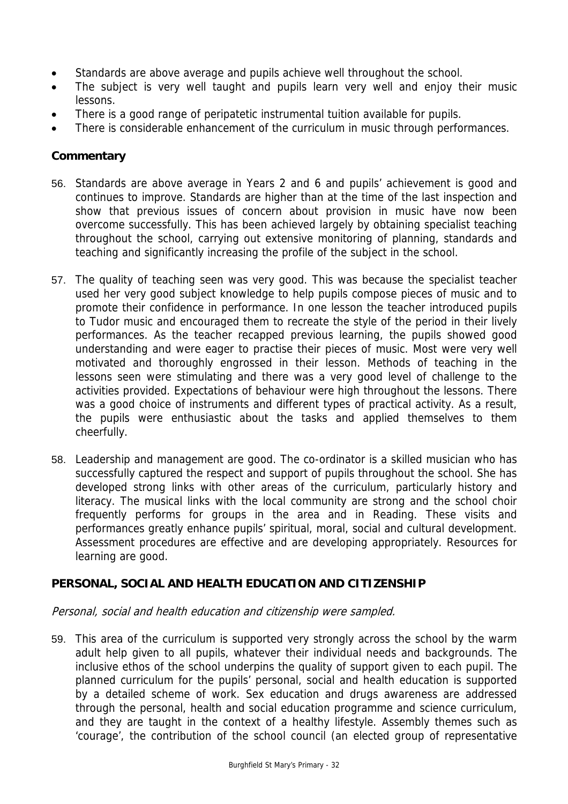- Standards are above average and pupils achieve well throughout the school.
- The subject is very well taught and pupils learn very well and enjoy their music lessons.
- There is a good range of peripatetic instrumental tuition available for pupils.
- There is considerable enhancement of the curriculum in music through performances.

## **Commentary**

- 56. Standards are above average in Years 2 and 6 and pupils' achievement is good and continues to improve. Standards are higher than at the time of the last inspection and show that previous issues of concern about provision in music have now been overcome successfully. This has been achieved largely by obtaining specialist teaching throughout the school, carrying out extensive monitoring of planning, standards and teaching and significantly increasing the profile of the subject in the school.
- 57. The quality of teaching seen was very good. This was because the specialist teacher used her very good subject knowledge to help pupils compose pieces of music and to promote their confidence in performance. In one lesson the teacher introduced pupils to Tudor music and encouraged them to recreate the style of the period in their lively performances. As the teacher recapped previous learning, the pupils showed good understanding and were eager to practise their pieces of music. Most were very well motivated and thoroughly engrossed in their lesson. Methods of teaching in the lessons seen were stimulating and there was a very good level of challenge to the activities provided. Expectations of behaviour were high throughout the lessons. There was a good choice of instruments and different types of practical activity. As a result, the pupils were enthusiastic about the tasks and applied themselves to them cheerfully.
- 58. Leadership and management are good. The co-ordinator is a skilled musician who has successfully captured the respect and support of pupils throughout the school. She has developed strong links with other areas of the curriculum, particularly history and literacy. The musical links with the local community are strong and the school choir frequently performs for groups in the area and in Reading. These visits and performances greatly enhance pupils' spiritual, moral, social and cultural development. Assessment procedures are effective and are developing appropriately. Resources for learning are good.

## **PERSONAL, SOCIAL AND HEALTH EDUCATION AND CITIZENSHIP**

#### Personal, social and health education and citizenship were sampled.

59. This area of the curriculum is supported very strongly across the school by the warm adult help given to all pupils, whatever their individual needs and backgrounds. The inclusive ethos of the school underpins the quality of support given to each pupil. The planned curriculum for the pupils' personal, social and health education is supported by a detailed scheme of work. Sex education and drugs awareness are addressed through the personal, health and social education programme and science curriculum, and they are taught in the context of a healthy lifestyle. Assembly themes such as 'courage', the contribution of the school council (an elected group of representative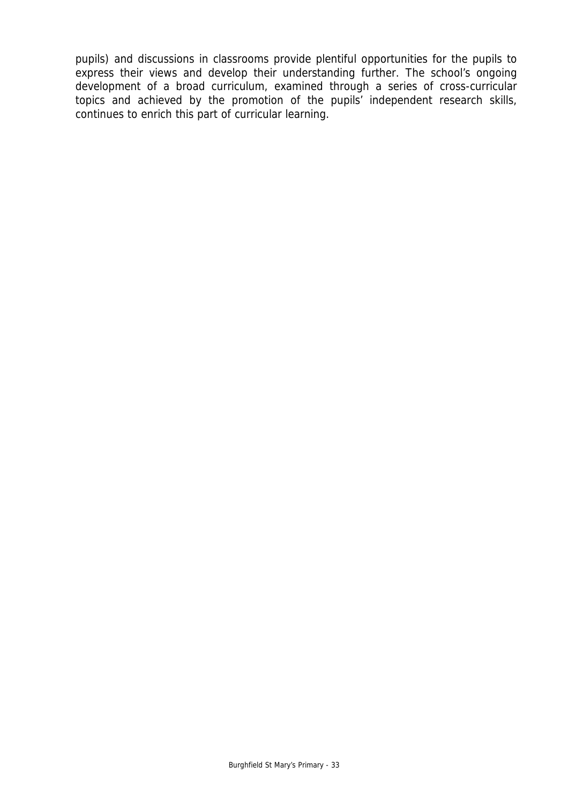pupils) and discussions in classrooms provide plentiful opportunities for the pupils to express their views and develop their understanding further. The school's ongoing development of a broad curriculum, examined through a series of cross-curricular topics and achieved by the promotion of the pupils' independent research skills, continues to enrich this part of curricular learning.